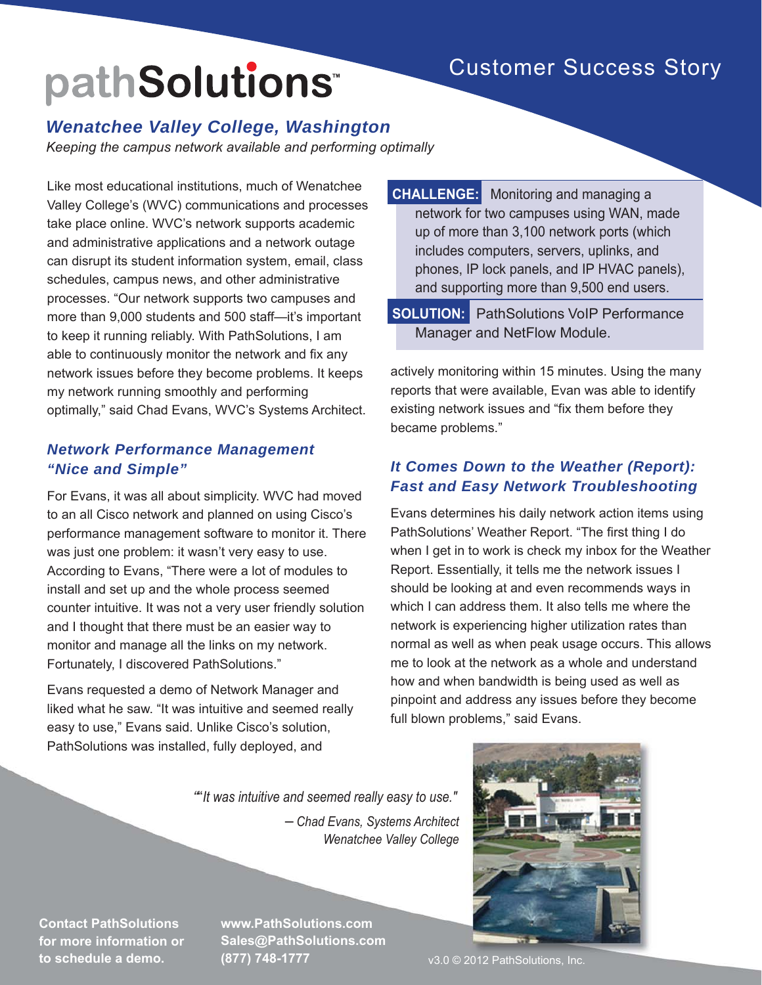## Customer Success Story

# pathSolutions<sup>®</sup>

### *Wenatchee Valley College, Washington*

*Keeping the campus network available and performing optimally*

Like most educational institutions, much of Wenatchee Valley College's (WVC) communications and processes take place online. WVC's network supports academic and administrative applications and a network outage can disrupt its student information system, email, class schedules, campus news, and other administrative processes. "Our network supports two campuses and more than 9,000 students and 500 staff—it's important to keep it running reliably. With PathSolutions, I am able to continuously monitor the network and fix any network issues before they become problems. It keeps my network running smoothly and performing optimally," said Chad Evans, WVC's Systems Architect.

### *Network Performance Management "Nice and Simple"*

For Evans, it was all about simplicity. WVC had moved to an all Cisco network and planned on using Cisco's performance management software to monitor it. There was just one problem: it wasn't very easy to use. According to Evans, "There were a lot of modules to install and set up and the whole process seemed counter intuitive. It was not a very user friendly solution and I thought that there must be an easier way to monitor and manage all the links on my network. Fortunately, I discovered PathSolutions."

Evans requested a demo of Network Manager and liked what he saw. "It was intuitive and seemed really easy to use," Evans said. Unlike Cisco's solution, PathSolutions was installed, fully deployed, and

**CHALLENGE:** Monitoring and managing a network for two campuses using WAN, made up of more than 3,100 network ports (which includes computers, servers, uplinks, and phones, IP lock panels, and IP HVAC panels), and supporting more than 9,500 end users.

**SOLUTION:** PathSolutions VoIP Performance Manager and NetFlow Module.

actively monitoring within 15 minutes. Using the many reports that were available, Evan was able to identify existing network issues and "fix them before they became problems."

### *It Comes Down to the Weather (Report): Fast and Easy Network Troubleshooting*

Evans determines his daily network action items using PathSolutions' Weather Report. "The first thing I do when I get in to work is check my inbox for the Weather Report. Essentially, it tells me the network issues I should be looking at and even recommends ways in which I can address them. It also tells me where the network is experiencing higher utilization rates than normal as well as when peak usage occurs. This allows me to look at the network as a whole and understand how and when bandwidth is being used as well as pinpoint and address any issues before they become full blown problems," said Evans.

""It was intuitive and seemed really easy to use."

*─ Chad Evans, Systems Architect Wenatchee Valley College*



**Contact PathSolutions for more information or to schedule a demo.**

**www.PathSolutions.com Sales@PathSolutions.com (877) 748-1777**

v3.0 © 2012 PathSolutions, Inc.